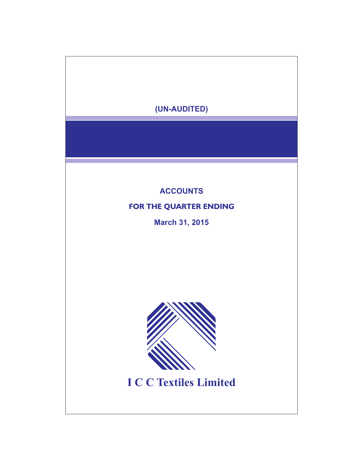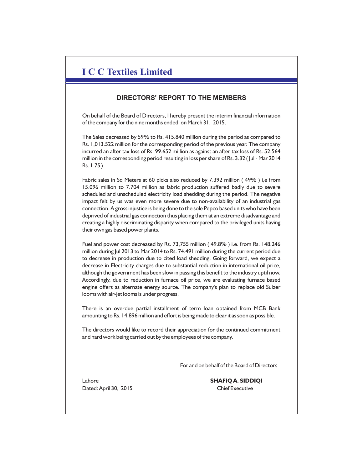# **I C C Textiles Limited**

## **DIRECTORS' REPORT TO THE MEMBERS**

On behalf of the Board of Directors, I hereby present the interim financial information of the company for the nine months ended on March 31, 2015.

The Sales decreased by 59% to Rs. 415.840 million during the period as compared to Rs. 1,013.522 million for the corresponding period of the previous year. The company incurred an after tax loss of Rs. 99.652 million as against an after tax loss of Rs. 52.564 million in the corresponding period resulting in loss per share of Rs. 3.32 ( Jul - Mar 2014 Rs. 1.75 ).

Fabric sales in Sq Meters at 60 picks also reduced by 7.392 million ( 49% ) i,e from 15.096 million to 7.704 million as fabric production suffered badly due to severe scheduled and unscheduled electricity load shedding during the period. The negative impact felt by us was even more severe due to non-availability of an industrial gas connection. A gross injustice is being done to the sole Pepco based units who have been deprived of industrial gas connection thus placing them at an extreme disadvantage and creating a highly discriminating disparity when compared to the privileged units having their own gas based power plants.

Fuel and power cost decreased by Rs. 73,755 million ( 49.8% ) i.e. from Rs. 148.246 million during Jul 2013 to Mar 2014 to Rs. 74.491 million during the current period due to decrease in production due to cited load shedding. Going forward, we expect a decrease in Electricity charges due to substantial reduction in international oil price, although the government has been slow in passing this benefit to the industry uptil now. Accordingly, due to reduction in furnace oil price, we are evaluating furnace based engine offers as alternate energy source. The company's plan to replace old Sulzer looms with air-jet looms is under progress.

There is an overdue partial installment of term loan obtained from MCB Bank amounting to Rs. 14.896 million and effort is being made to clear it as soon as possible.

The directors would like to record their appreciation for the continued commitment and hard work being carried out by the employees of the company.

For and on behalf of the Board of Directors

Dated: April 30, 2015 Chief Executive

Lahore **SHAFIQ A. SIDDIQI**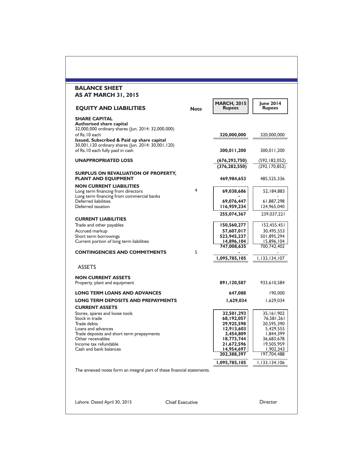| <b>EQUITY AND LIABILITIES</b>                                                                    | <b>Note</b> | <b>MARCH, 2015</b><br><b>Rupees</b> | <b>June 2014</b><br><b>Rupees</b> |
|--------------------------------------------------------------------------------------------------|-------------|-------------------------------------|-----------------------------------|
| <b>SHARE CAPITAL</b>                                                                             |             |                                     |                                   |
| <b>Authorised share capital</b><br>32,000,000 ordinary shares (Jun. 2014: 32,000,000)            |             |                                     |                                   |
| of Rs. 10 each                                                                                   |             | 320,000,000                         | 320,000,000                       |
| Issued, Subscribed & Paid up share capital<br>30,001,120 ordinary shares (Jun. 2014: 30,001,120) |             |                                     |                                   |
| of Rs.10 each fully paid in cash                                                                 |             | 300,011,200                         | 300,011,200                       |
| <b>UNAPPROPRIATED LOSS</b>                                                                       |             | (676,293,750)                       | (592, 182, 052)                   |
|                                                                                                  |             | (376, 282, 550)                     | (292, 170, 852)                   |
| SURPLUS ON REVALUATION OF PROPERTY,                                                              |             |                                     |                                   |
| <b>PLANT AND EQUIPMENT</b>                                                                       |             | 469,984,653                         | 485,525,336                       |
| <b>NON CURRENT LIABILITIES</b><br>Long term financing from directors                             | 4           | 69,038,686                          | 52, 184, 883                      |
| Long term financing from commercial banks                                                        |             |                                     |                                   |
| Deferred liabilities<br>Deferred taxation                                                        |             | 69,076,447<br>116,959,234           | 61,887,298<br>124,965,040         |
|                                                                                                  |             | 255,074,367                         | 239,037,221                       |
| <b>CURRENT LIABILITIES</b><br>Trade and other payables                                           |             | 150,560,277                         | 152,455,451                       |
| Accrued markup                                                                                   |             | 57,607,017                          | 30,495,553                        |
| Short term borrowings                                                                            |             | 523,945,237                         | 501,895,294                       |
| Current portion of long term liabilities                                                         |             | 14,896,104<br>747,008,635           | 15,896,104<br>700,742,402         |
| <b>CONTINGENCIES AND COMMITMENTS</b>                                                             | 5           |                                     | 1,133,134,107                     |
| <b>ASSETS</b>                                                                                    |             | 1,095,785,105                       |                                   |
| <b>NON CURRENT ASSETS</b>                                                                        |             |                                     |                                   |
| Property, plant and equipment                                                                    |             | 891,120,587                         | 933,610,584                       |
| <b>LONG TERM LOANS AND ADVANCES</b>                                                              |             | 647,088                             | 190,000                           |
| <b>LONG TERM DEPOSITS AND PREPAYMENTS</b>                                                        |             | 1,629,034                           | 1,629,034                         |
| <b>CURRENT ASSETS</b>                                                                            |             |                                     |                                   |
| Stores, spares and loose tools<br>Stock in trade                                                 |             | 32,501,293<br>68,192,057            | 35,161,902<br>76,581,261          |
| Trade debts                                                                                      |             | 29,925,598                          | 20,595,390                        |
| Loans and advances                                                                               |             | 12,913,603                          | 5.429.555                         |
| Trade deposits and short term prepayments                                                        |             | 3,454,809                           | 1,844,399                         |
| Other receivables                                                                                |             | 18,773,744                          | 36,683,678                        |
| Income tax refundable<br>Cash and bank balances                                                  |             | 21,672,596<br>14,954,697            | 19,505,959<br>1,902,343           |
|                                                                                                  |             | 202,388,397                         | 197,704,488                       |
|                                                                                                  |             | 1,095,785,105                       | 1,133,134,106                     |
| The annexed notes form an integral part of these financial statements.                           |             |                                     |                                   |
|                                                                                                  |             |                                     |                                   |
|                                                                                                  |             |                                     |                                   |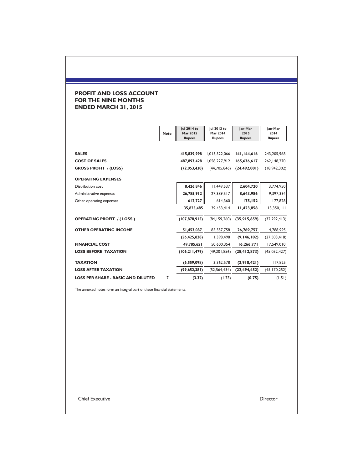### **PROFIT AND LOSS ACCOUNT FOR THE NINE MONTHS ENDED MARCH 31, 2015**

|                                           | <b>Note</b> | Jul 2014 to<br><b>Mar 2015</b><br><b>Rupees</b> | Jul 2013 to<br><b>Mar 2014</b><br><b>Rupees</b> | Jan-Mar<br>2015<br><b>Rupees</b> | Jan-Mar<br>2014<br><b>Rupees</b> |
|-------------------------------------------|-------------|-------------------------------------------------|-------------------------------------------------|----------------------------------|----------------------------------|
| <b>SALES</b>                              |             | 415,839,998                                     | 1,013,522,066                                   | 141,144,616                      | 243,205,968                      |
| <b>COST OF SALES</b>                      |             | 487,893,428                                     | 1,058,227,912                                   | 165,636,617                      | 262, 148, 270                    |
| <b>GROSS PROFIT / (LOSS)</b>              |             | (72,053,430)                                    | (44,705,846)                                    | (24, 492, 001)                   | (18, 942, 302)                   |
| <b>OPERATING EXPENSES</b>                 |             |                                                 |                                                 |                                  |                                  |
| <b>Distribution cost</b>                  |             | 8,426,846                                       | 11,449,537                                      | 2,604,720                        | 3,774,950                        |
| Administrative expenses                   |             | 26,785,912                                      | 27,389,517                                      | 8,643,986                        | 9,397,334                        |
| Other operating expenses                  |             | 612,727                                         | 614,360                                         | 175,152                          | 177,828                          |
|                                           |             | 35,825,485                                      | 39,453,414                                      | 11,423,858                       | 13,350,111                       |
| <b>OPERATING PROFIT / (LOSS)</b>          |             | (107,878,915)                                   | (84, 159, 260)                                  | (35, 915, 859)                   | (32, 292, 413)                   |
| <b>OTHER OPERATING INCOME</b>             |             | 51,453,087                                      | 85,557,758                                      | 26,769,757                       | 4,788,995                        |
|                                           |             | (56, 425, 828)                                  | 1,398,498                                       | (9, 146, 102)                    | (27,503,418)                     |
| <b>FINANCIAL COST</b>                     |             | 49,785,651                                      | 50,600,354                                      | 16,266,771                       | 17,549,010                       |
| <b>LOSS BEFORE TAXATION</b>               |             | (106, 211, 479)                                 | (49, 201, 856)                                  | (25, 412, 873)                   | (45,052,427)                     |
| <b>TAXATION</b>                           |             | (6,559,098)                                     | 3,362,578                                       | (2,918,421)                      | 117,825                          |
| <b>LOSS AFTER TAXATION</b>                |             | (99,652,381)                                    | (52, 564, 434)                                  | (22, 494, 452)                   | (45, 170, 252)                   |
| <b>LOSS PER SHARE - BASIC AND DILUTED</b> | 7           | (3.32)                                          | (1.75)                                          | (0.75)                           | (1.51)                           |

The annexed notes form an integral part of these financial statements.

Chief Executive Director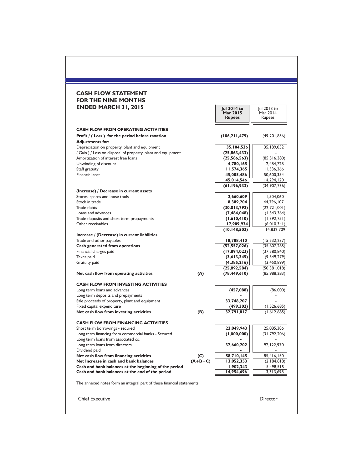### **CASH FLOW STATEMENT FOR THE NINE MONTHS ENDED MARCH 31, 2015**

| <b>ENDED MARCH 31, 2015</b>                                               |           | Jul 2014 to<br>Mar 2015<br><b>Rupees</b> | Jul 2013 to<br>Mar 2014<br>Rupees |
|---------------------------------------------------------------------------|-----------|------------------------------------------|-----------------------------------|
| <b>CASH FLOW FROM OPERATING ACTIVITIES</b>                                |           |                                          |                                   |
| Profit / (Loss) for the period before taxation<br><b>Adjustments for:</b> |           | (106, 211, 479)                          | (49, 201, 856)                    |
| Depreciation on property, plant and equipment                             |           | 35,104,526                               | 35,189,052                        |
| (Gain) / Loss on disposal of property, plant and equipment                |           | (25, 863, 433)                           |                                   |
| Amortization of interest free loans                                       |           | (25, 586, 563)                           | (85, 516, 380)                    |
| Unwinding of discount                                                     |           | 4,780,165                                | 2,484,728                         |
| Staff gratuity                                                            |           | 11,574,365                               | 11,536,366                        |
| Financial cost                                                            |           | 45,005,486                               | 50,600,354                        |
|                                                                           |           | 45,014,546                               | 14,294,120                        |
| (Increase) / Decrease in current assets                                   |           | (61, 196, 933)                           | (34,907,736)                      |
| Stores, spares and loose tools                                            |           | 2,660,609                                | 1,504,060                         |
| Stock in trade                                                            |           | 8,389,204                                | 44,796,107                        |
| Trade debts                                                               |           | (30, 013, 792)                           | (22, 721, 001)                    |
| Loans and advances                                                        |           | (7, 484, 048)                            | (1, 343, 364)                     |
| Trade deposits and short term prepayments                                 |           | (1,610,410)                              | (1, 392, 751)                     |
| Other receivables                                                         |           | 17,909,934                               | (6,010,341)                       |
|                                                                           |           | (10, 148, 502)                           | 14,832,709                        |
| Increase / (Decrease) in current liabilities                              |           |                                          |                                   |
| Trade and other payables                                                  |           | 18,788,410                               | (15, 532, 237)                    |
| Cash generated from operations                                            |           | (52, 557, 026)                           | (35,607,265)                      |
| Financial charges paid                                                    |           | (17,894,023)                             | (37,580,840)                      |
| Taxes paid<br>Gratuity paid                                               |           | (3,613,345)<br>(4,385,216)               | (9,349,279)<br>(3,450,899)        |
|                                                                           |           | (25,892,584)                             | (50, 381, 018)                    |
| Net cash flow from operating activities                                   | (A)       | (78, 449, 610)                           | (85,988,283)                      |
| <b>CASH FLOW FROM INVESTING ACTIVITIES</b>                                |           |                                          |                                   |
| Long term loans and advances                                              |           | (457, 088)                               | (86,000)                          |
| Long term deposits and prepayments                                        |           |                                          |                                   |
| Sale proceeds of property, plant and equipment                            |           | 33,748,207                               |                                   |
| Fixed capital expenditure                                                 |           | (499, 302)                               | (1,526,685)                       |
| Net cash flow from investing activities                                   | (B)       | 32,791,817                               | (1,612,685)                       |
| <b>CASH FLOW FROM FINANCING ACTIVITIES</b>                                |           |                                          |                                   |
| Short term borrowings - secured                                           |           | 22,049,943                               | 25,085,386                        |
| Long term financing from commercial banks - Secured                       |           | (1,000,000)                              | (31, 792, 206)                    |
| Long term loans from associated co.                                       |           |                                          |                                   |
| Long term loans from directors                                            |           | 37,660,202                               | 92,122,970                        |
| Dividend paid                                                             |           |                                          |                                   |
| Net cash flow from financing activities                                   | (C)       | 58,710,145                               | 85,416,150                        |
| Net Increase in cash and bank balances                                    | $(A+B+C)$ | 13,052,353                               | (2,184,818)                       |
| Cash and bank balances at the beginning of the period                     |           | 1,902,343                                | 5,498,515<br>3,313,698            |
| Cash and bank balances at the end of the period                           |           | 14,954,696                               |                                   |
| The annexed notes form an integral part of these financial statements.    |           |                                          |                                   |
| <b>Chief Executive</b>                                                    |           |                                          | Director                          |
|                                                                           |           |                                          |                                   |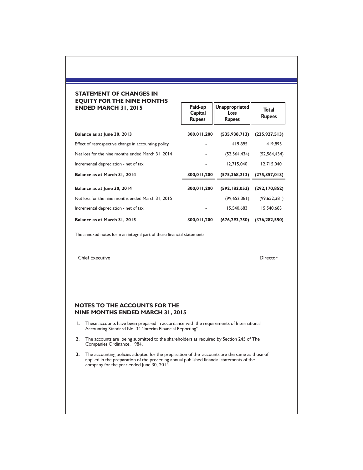### **STATEMENT OF CHANGES IN EQUITY FOR THE NINE MONTHS ENDED MARCH 31, 2015**

| <b>ENDED MARCH 31, 2015</b>                         | Paid-up<br>Capital<br><b>Rupees</b> | Unappropriated<br><b>Loss</b><br><b>Rupees</b> | <b>Total</b><br><b>Rupees</b> |  |
|-----------------------------------------------------|-------------------------------------|------------------------------------------------|-------------------------------|--|
| Balance as at June 30, 2013                         | 300,011,200                         | (535, 938, 713)                                | (235, 927, 513)               |  |
| Effect of retrospective change in accounting policy |                                     | 419,895                                        | 419,895                       |  |
| Net loss for the nine months ended March 31, 2014   |                                     | (52, 564, 434)                                 | (52, 564, 434)                |  |
| Incremental depreciation - net of tax               |                                     | 12,715,040                                     | 12,715,040                    |  |
| Balance as at March 31, 2014                        | 300,011,200                         | (575, 368, 213)                                | (275, 357, 013)               |  |
| Balance as at June 30, 2014                         | 300,011,200                         | (592, 182, 052)                                | (292, 170, 852)               |  |
| Net loss for the nine months ended March 31, 2015   |                                     | (99,652,381)                                   | (99,652,381)                  |  |
| Incremental depreciation - net of tax               |                                     | 15,540,683                                     | 15,540,683                    |  |
| Balance as at March 31, 2015                        | 300,011,200                         | (676, 293, 750)                                | (376, 282, 550)               |  |

Paid-up **Unappropriated** 

The annexed notes form an integral part of these financial statements.

Chief Executive Director

### **NINE MONTHS ENDED MARCH 31, 2015 NOTES TO THE ACCOUNTS FOR THE**

- **1.** These accounts have been prepared in accordance with the requirements of International Accounting Standard No. 34 "Interim Financial Reporting".
- **2.** The accounts are being submitted to the shareholders as required by Section 245 of The Companies Ordinance, 1984.
- **3.** The accounting policies adopted for the preparation of the accounts are the same as those of applied in the preparation of the preceding annual published financial statements of the company for the year ended June 30, 2014.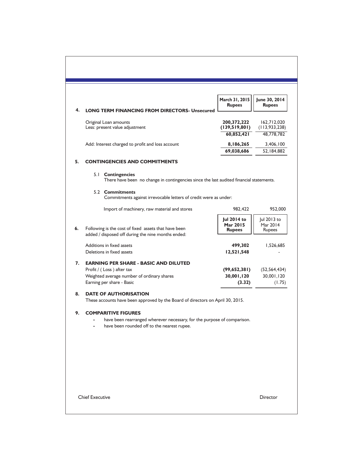| 4. |                                                                                                                                                      | March 31, 2015<br><b>Rupees</b>   | June 30, 2014<br><b>Rupees</b>    |
|----|------------------------------------------------------------------------------------------------------------------------------------------------------|-----------------------------------|-----------------------------------|
|    | <b>LONG TERM FINANCING FROM DIRECTORS- Unsecured</b><br>Original Loan amounts                                                                        | 200,372,222                       | 162,712,020                       |
|    | Less: present value adjustment                                                                                                                       | (139,519,801)                     | (113, 933, 238)                   |
|    |                                                                                                                                                      | 60,852,421                        | 48,778,782                        |
|    | Add: Interest charged to profit and loss account                                                                                                     | 8,186,265<br>69,038,686           | 3,406,100<br>52,184,882           |
| 5. | <b>CONTINGENCIES AND COMMITMENTS</b>                                                                                                                 |                                   |                                   |
|    | 5.1 Contingencies<br>There have been no change in contingencies since the last audited financial statements.                                         |                                   |                                   |
|    | 5.2 Commitments<br>Commitments against irrevocable letters of credit were as under:                                                                  |                                   |                                   |
|    | Import of machinery, raw material and stores                                                                                                         | 982,422                           | 952,000                           |
| 6. | Following is the cost of fixed assets that have been                                                                                                 | Jul 2014 to<br>Mar 2015<br>Rupees | Jul 2013 to<br>Mar 2014<br>Rupees |
|    | added / disposed off during the nine months ended:                                                                                                   |                                   |                                   |
|    | Additions in fixed assets<br>Deletions in fixed assets                                                                                               | 499,302<br>12,521,548             | 1,526,685                         |
| 7. | <b>EARNING PER SHARE - BASIC AND DILUTED</b>                                                                                                         |                                   |                                   |
|    | Profit / (Loss) after tax                                                                                                                            | (99,652,381)                      | (52, 564, 434)                    |
|    | Weighted average number of ordinary shares<br>Earning per share - Basic                                                                              | 30,001,120<br>(3.32)              | 30,001,120<br>(1.75)              |
| 8. | <b>DATE OF AUTHORISATION</b>                                                                                                                         |                                   |                                   |
|    | These accounts have been approved by the Board of directors on April 30, 2015.                                                                       |                                   |                                   |
| 9. | <b>COMPARITIVE FIGURES</b><br>have been rearranged wherever necessary, for the purpose of comparison.<br>have been rounded off to the nearest rupee. |                                   |                                   |
|    |                                                                                                                                                      |                                   |                                   |
|    |                                                                                                                                                      |                                   |                                   |
|    |                                                                                                                                                      |                                   |                                   |
|    |                                                                                                                                                      |                                   |                                   |
|    |                                                                                                                                                      |                                   |                                   |
|    | <b>Chief Executive</b>                                                                                                                               |                                   | Director                          |
|    |                                                                                                                                                      |                                   |                                   |